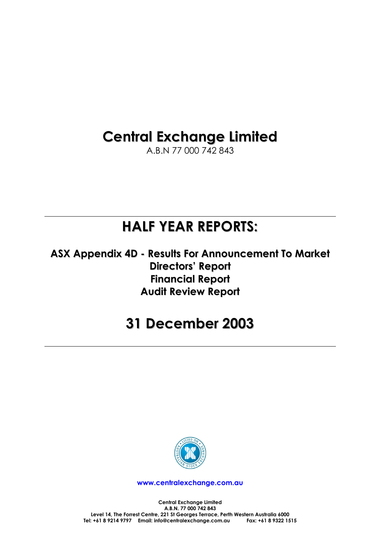# **Central Exchange Limited**

A.B.N 77 000 742 843

# **HALF YEAR REPORTS:**

**ASX Appendix 4D - Results For Announcement To Market Directors' Report Financial Report Audit Review Report**

# **31 December 2003**



**www.centralexchange.com.au**

**Central Exchange Limited A.B.N. 77 000 742 843 Level 14, The Forrest Centre, 221 St Georges Terrace, Perth Western Australia 6000**  Tel: +61 8 9214 9797 Email: info@centralexchange.com.au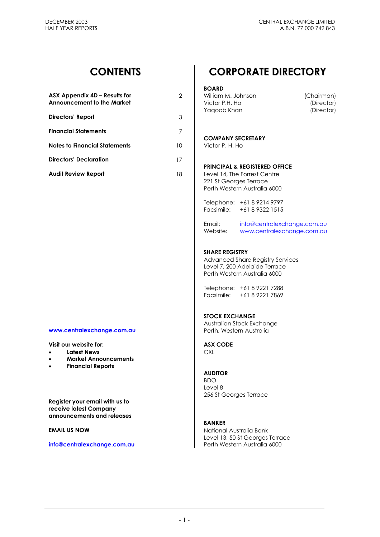| <b>CONTENTS</b>                                                                                                                   |                | <b>CORPORATE DIRECTORY</b>                                                                                                                                                             |  |  |  |
|-----------------------------------------------------------------------------------------------------------------------------------|----------------|----------------------------------------------------------------------------------------------------------------------------------------------------------------------------------------|--|--|--|
| ASX Appendix 4D - Results for<br><b>Announcement to the Market</b>                                                                | $\overline{2}$ | <b>BOARD</b><br>William M. Johnson<br>(Chairman)<br>Victor P.H. Ho<br>(Director)<br>(Director)<br>Yaqoob Khan                                                                          |  |  |  |
| Directors' Report                                                                                                                 | $\mathfrak 3$  |                                                                                                                                                                                        |  |  |  |
| <b>Financial Statements</b>                                                                                                       | $\overline{7}$ |                                                                                                                                                                                        |  |  |  |
| <b>Notes to Financial Statements</b>                                                                                              | 10             | <b>COMPANY SECRETARY</b><br>Victor P. H. Ho                                                                                                                                            |  |  |  |
| <b>Directors' Declaration</b>                                                                                                     | 17             |                                                                                                                                                                                        |  |  |  |
| <b>Audit Review Report</b>                                                                                                        | 18             | <b>PRINCIPAL &amp; REGISTERED OFFICE</b><br>Level 14, The Forrest Centre<br>221 St Georges Terrace<br>Perth Western Australia 6000                                                     |  |  |  |
|                                                                                                                                   |                | Telephone: +61 8 9214 9797<br>Facsimile:<br>+61 8 9322 1515                                                                                                                            |  |  |  |
|                                                                                                                                   |                | Email:<br>info@centralexchange.com.au<br>Website:<br>www.centralexchange.com.au                                                                                                        |  |  |  |
|                                                                                                                                   |                | <b>SHARE REGISTRY</b><br>Advanced Share Registry Services<br>Level 7, 200 Adelaide Terrace<br>Perth Western Australia 6000<br>Telephone: +61 8 9221 7288<br>Facsimile: +61 8 9221 7869 |  |  |  |
| www.centralexchange.com.au                                                                                                        |                | <b>STOCK EXCHANGE</b><br>Australian Stock Exchange<br>Perth, Western Australia                                                                                                         |  |  |  |
| Visit our website for:<br><b>Latest News</b><br>$\bullet$<br><b>Market Announcements</b><br>$\bullet$<br><b>Financial Reports</b> |                | <b>ASX CODE</b><br><b>CXL</b>                                                                                                                                                          |  |  |  |
| Register your email with us to                                                                                                    |                | <b>AUDITOR</b><br><b>BDO</b><br>Level 8<br>256 St Georges Terrace                                                                                                                      |  |  |  |
| receive latest Company<br>announcements and releases                                                                              |                |                                                                                                                                                                                        |  |  |  |
| <b>EMAIL US NOW</b>                                                                                                               |                | <b>BANKER</b><br>National Australia Bank<br>Level 13, 50 St Georges Terrace                                                                                                            |  |  |  |
| info@centralexchange.com.au                                                                                                       |                | Perth Western Australia 6000                                                                                                                                                           |  |  |  |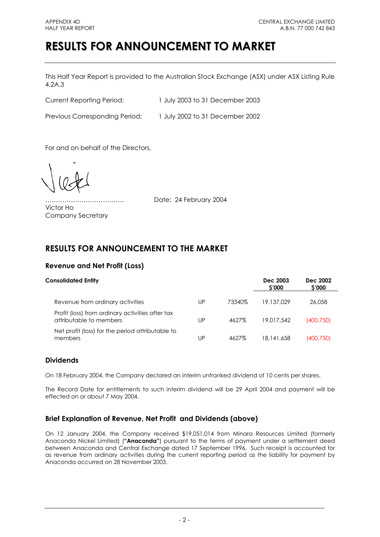# **RESULTS FOR ANNOUNCEMENT TO MARKET**

This Half Year Report is provided to the Australian Stock Exchange (ASX) under ASX Listing Rule 4.2A.3

Current Reporting Period: 1 July 2003 to 31 December 2003

Previous Corresponding Period: 1 July 2002 to 31 December 2002

For and on behalf of the Directors,

Victor Ho Company Secretary

………………………………. Date: 24 February 2004

# **RESULTS FOR ANNOUNCEMENT TO THE MARKET**

# **Revenue and Net Profit (Loss)**

| <b>Consolidated Entity</b>                                                  | Dec 2003<br>\$'000 | Dec 2002<br><b>S'000</b> |            |            |
|-----------------------------------------------------------------------------|--------------------|--------------------------|------------|------------|
| Revenue from ordinary activities                                            | UP                 | 73340%                   | 19.137.029 | 26,058     |
| Profit (loss) from ordinary activities after tax<br>attributable to members | UP                 | 4627%                    | 19.017.542 | (400,750)  |
| Net profit (loss) for the period attributable to<br>members                 | UР                 | 4627%                    | 18,141,658 | (400, 750) |

# **Dividends**

On 18 February 2004, the Company declared an interim unfranked dividend of 10 cents per shares.

The Record Date for entitlements to such interim dividend will be 29 April 2004 and payment will be effected on or about 7 May 2004.

# **Brief Explanation of Revenue, Net Profit and Dividends (above)**

On 12 January 2004, the Company received \$19,051,014 from Minara Resources Limited (formerly Anaconda Nickel Limited) (**"Anaconda"**) pursuant to the terms of payment under a settlement deed between Anaconda and Central Exchange dated 17 September 1996. Such receipt is accounted for as revenue from ordinary activities during the current reporting period as the liability for payment by Anaconda occurred on 28 November 2003.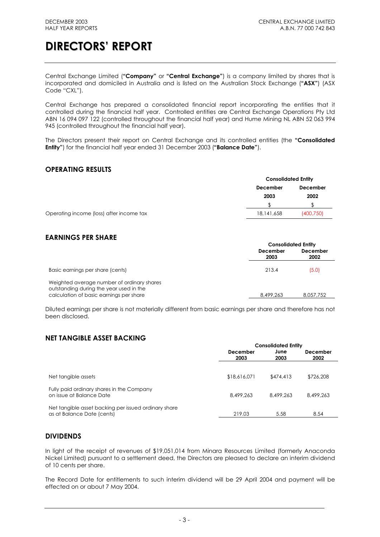Central Exchange Limited (**"Company"** or **"Central Exchange"**) is a company limited by shares that is incorporated and domiciled in Australia and is listed on the Australian Stock Exchange (**"ASX"**) (ASX Code "CXL").

Central Exchange has prepared a consolidated financial report incorporating the entities that it controlled during the financial half year. Controlled entities are Central Exchange Operations Pty Ltd ABN 16 094 097 122 (controlled throughout the financial half year) and Hume Mining NL ABN 52 063 994 945 (controlled throughout the financial half year).

The Directors present their report on Central Exchange and its controlled entities (the **"Consolidated Entity"**) for the financial half year ended 31 December 2003 (**"Balance Date"**).

# **OPERATING RESULTS**

|                                          | <b>Consolidated Entity</b> |                 |
|------------------------------------------|----------------------------|-----------------|
|                                          | December                   | <b>December</b> |
|                                          | 2003                       | 2002            |
|                                          |                            |                 |
| Operating income (loss) after income tax | 18,141,658                 | (400, 750)      |

# **EARNINGS PER SHARE**

|                                                                                                                                  | <b>Consolidated Entity</b> |                  |  |
|----------------------------------------------------------------------------------------------------------------------------------|----------------------------|------------------|--|
|                                                                                                                                  | December<br>2003           | December<br>2002 |  |
| Basic earnings per share (cents)                                                                                                 | 213.4                      | (5.0)            |  |
| Weighted average number of ordinary shares<br>outstanding during the year used in the<br>calculation of basic earnings per share | 8,499,263                  | 8.057.752        |  |

Diluted earnings per share is not materially different from basic earnings per share and therefore has not been disclosed.

# **NET TANGIBLE ASSET BACKING**

|                                                                                    |                  | <b>Consolidated Entity</b> |                         |  |  |
|------------------------------------------------------------------------------------|------------------|----------------------------|-------------------------|--|--|
|                                                                                    | December<br>2003 | June<br>2003               | <b>December</b><br>2002 |  |  |
| Net tangible assets                                                                | \$18,616,071     | \$474,413                  | \$726,208               |  |  |
| Fully paid ordinary shares in the Company<br>on issue at Balance Date              | 8,499,263        | 8,499,263                  | 8,499,263               |  |  |
| Net tangible asset backing per issued ordinary share<br>as at Balance Date (cents) | 219.03           | 5.58                       | 8.54                    |  |  |

## **DIVIDENDS**

In light of the receipt of revenues of \$19,051,014 from Minara Resources Limited (formerly Anaconda Nickel Limited) pursuant to a settlement deed, the Directors are pleased to declare an interim dividend of 10 cents per share.

The Record Date for entitlements to such interim dividend will be 29 April 2004 and payment will be effected on or about 7 May 2004.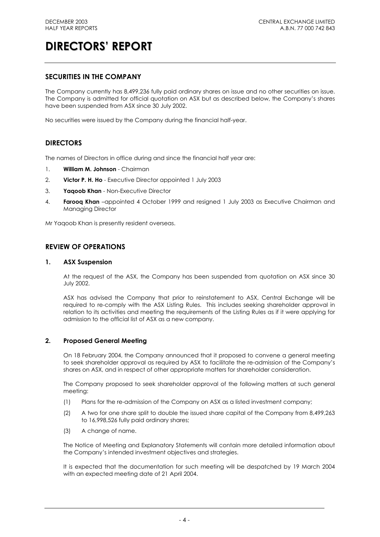# **SECURITIES IN THE COMPANY**

The Company currently has 8,499,236 fully paid ordinary shares on issue and no other securities on issue. The Company is admitted for official quotation on ASX but as described below, the Company's shares have been suspended from ASX since 30 July 2002.

No securities were issued by the Company during the financial half-year.

# **DIRECTORS**

The names of Directors in office during and since the financial half year are:

- 1. **William M. Johnson** Chairman
- 2. **Victor P. H. Ho** Executive Director appointed 1 July 2003
- 3. **Yaqoob Khan** Non-Executive Director
- 4. **Farooq Khan** –appointed 4 October 1999 and resigned 1 July 2003 as Executive Chairman and Managing Director

Mr Yaqoob Khan is presently resident overseas.

## **REVIEW OF OPERATIONS**

## **1. ASX Suspension**

At the request of the ASX, the Company has been suspended from quotation on ASX since 30 July 2002.

ASX has advised the Company that prior to reinstatement to ASX, Central Exchange will be required to re-comply with the ASX Listing Rules. This includes seeking shareholder approval in relation to its activities and meeting the requirements of the Listing Rules as if it were applying for admission to the official list of ASX as a new company.

## **2. Proposed General Meeting**

On 18 February 2004, the Company announced that it proposed to convene a general meeting to seek shareholder approval as required by ASX to facilitate the re-admission of the Company's shares on ASX, and in respect of other appropriate matters for shareholder consideration.

The Company proposed to seek shareholder approval of the following matters at such general meeting:

- (1) Plans for the re-admission of the Company on ASX as a listed investment company;
- (2) A two for one share split to double the issued share capital of the Company from 8,499,263 to 16,998,526 fully paid ordinary shares;
- (3) A change of name.

The Notice of Meeting and Explanatory Statements will contain more detailed information about the Company's intended investment objectives and strategies.

It is expected that the documentation for such meeting will be despatched by 19 March 2004 with an expected meeting date of 21 April 2004.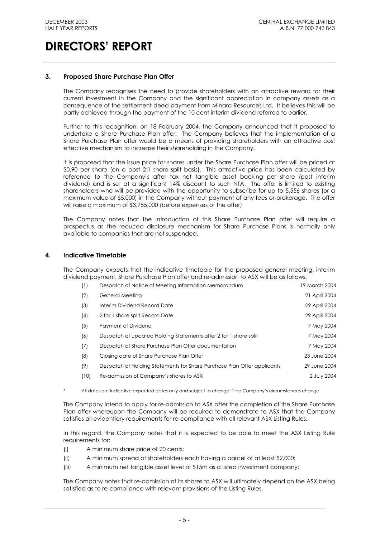## **3. Proposed Share Purchase Plan Offer**

The Company recognises the need to provide shareholders with an attractive reward for their current investment in the Company and the significant appreciation in company assets as a consequence of the settlement deed payment from Minara Resources Ltd. It believes this will be partly achieved through the payment of the 10 cent interim dividend referred to earlier.

Further to this recognition, on 18 February 2004, the Company announced that it proposed to undertake a Share Purchase Plan offer. The Company believes that the implementation of a Share Purchase Plan offer would be a means of providing shareholders with an attractive cost effective mechanism to increase their shareholding in the Company.

It is proposed that the issue price for shares under the Share Purchase Plan offer will be priced at \$0.90 per share (on a post 2:1 share split basis). This attractive price has been calculated by reference to the Company's after tax net tangible asset backing per share (post interim dividend) and is set at a significant 14% discount to such NTA. The offer is limited to existing shareholders who will be provided with the opportunity to subscribe for up to 5,556 shares (or a maximum value of \$5,000) in the Company without payment of any fees or brokerage. The offer will raise a maximum of \$3,755,000 (before expenses of the offer)

The Company notes that the introduction of this Share Purchase Plan offer will require a prospectus as the reduced disclosure mechanism for Share Purchase Plans is normally only available to companies that are not suspended.

## **4. Indicative Timetable**

The Company expects that the indicative timetable for the proposed general meeting, interim dividend payment, Share Purchase Plan offer and re-admission to ASX will be as follows:

| (1)  | Despatch of Notice of Meeting Information Memorandum                    | 19 March 2004 |
|------|-------------------------------------------------------------------------|---------------|
| (2)  | General Meeting                                                         | 21 April 2004 |
| (3)  | Interim Dividend Record Date                                            | 29 April 2004 |
| (4)  | 2 for 1 share split Record Date                                         | 29 April 2004 |
| (5)  | Payment of Dividend                                                     | 7 May 2004    |
| (6)  | Despatch of updated Holding Statements after 2 for 1 share split        | 7 May 2004    |
| (7)  | Despatch of Share Purchase Plan Offer documentation                     | 7 May 2004    |
| (8)  | Closing date of Share Purchase Plan Offer                               | 23 June 2004  |
| (9)  | Despatch of Holding Statements for Share Purchase Plan Offer applicants | 29 June 2004  |
| (10) | Re-admission of Company's shares to ASX                                 | 2 July 2004   |

All dates are indicative expected dates only and subject to change if the Company's circumstances change.

The Company intend to apply for re-admission to ASX after the completion of the Share Purchase Plan offer whereupon the Company will be required to demonstrate to ASX that the Company satisfies all evidentiary requirements for re-compliance with all relevant ASX Listing Rules.

In this regard, the Company notes that it is expected to be able to meet the ASX Listing Rule requirements for:

- (i) A minimum share price of 20 cents;
- (ii) A minimum spread of shareholders each having a parcel of at least \$2,000;
- (iii) A minimum net tangible asset level of \$15m as a listed investment company;

The Company notes that re-admission of its shares to ASX will ultimately depend on the ASX being satisfied as to re-compliance with relevant provisions of the Listing Rules.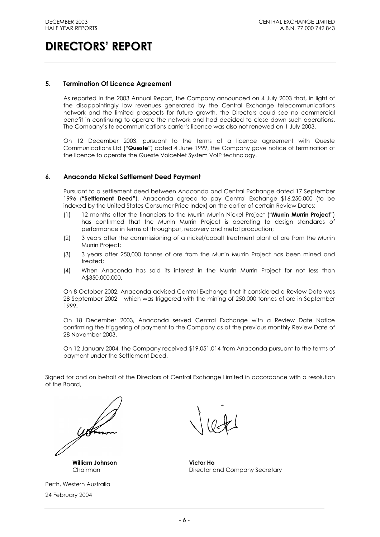## **5. Termination Of Licence Agreement**

As reported in the 2003 Annual Report, the Company announced on 4 July 2003 that, in light of the disappointingly low revenues generated by the Central Exchange telecommunications network and the limited prospects for future growth, the Directors could see no commercial benefit in continuing to operate the network and had decided to close down such operations. The Company's telecommunications carrier's licence was also not renewed on 1 July 2003.

On 12 December 2003, pursuant to the terms of a licence agreement with Queste Communications Ltd (**"Queste"**) dated 4 June 1999, the Company gave notice of termination of the licence to operate the Queste VoiceNet System VoIP technology.

### **6. Anaconda Nickel Settlement Deed Payment**

Pursuant to a settlement deed between Anaconda and Central Exchange dated 17 September 1996 (**"Settlement Deed"**), Anaconda agreed to pay Central Exchange \$16,250,000 (to be indexed by the United States Consumer Price Index) on the earlier of certain Review Dates:

- (1) 12 months after the financiers to the Murrin Murrin Nickel Project (**"Murrin Murrin Project"**) has confirmed that the Murrin Murrin Project is operating to design standards of performance in terms of throughput, recovery and metal production;
- (2) 3 years after the commissioning of a nickel/cobalt treatment plant of ore from the Murrin Murrin Project;
- (3) 3 years after 250,000 tonnes of ore from the Murrin Murrin Project has been mined and treated;
- (4) When Anaconda has sold its interest in the Murrin Murrin Project for not less than A\$350,000,000.

On 8 October 2002, Anaconda advised Central Exchange that it considered a Review Date was 28 September 2002 – which was triggered with the mining of 250,000 tonnes of ore in September 1999.

On 18 December 2003, Anaconda served Central Exchange with a Review Date Notice confirming the triggering of payment to the Company as at the previous monthly Review Date of 28 November 2003.

On 12 January 2004, the Company received \$19,051,014 from Anaconda pursuant to the terms of payment under the Settlement Deed.

Signed for and on behalf of the Directors of Central Exchange Limited in accordance with a resolution of the Board,

**William Johnson Victor Ho**

Perth, Western Australia 24 February 2004

Chairman **Director and Company Secretary**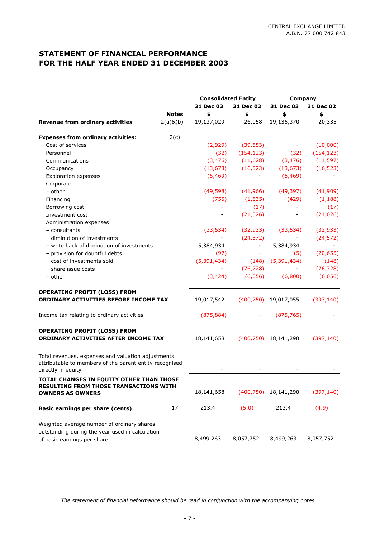# **STATEMENT OF FINANCIAL PERFORMANCE FOR THE HALF YEAR ENDED 31 DECEMBER 2003**

|                                                                                                                                     |                | <b>Consolidated Entity</b> |                          | <b>Company</b>            |            |  |
|-------------------------------------------------------------------------------------------------------------------------------------|----------------|----------------------------|--------------------------|---------------------------|------------|--|
|                                                                                                                                     |                | 31 Dec 03                  | 31 Dec 02                | 31 Dec 03                 | 31 Dec 02  |  |
|                                                                                                                                     | <b>Notes</b>   | \$                         | \$                       | \$                        | \$         |  |
| <b>Revenue from ordinary activities</b>                                                                                             | $2(a)$ & $(b)$ | 19,137,029                 | 26,058                   | 19,136,370                | 20,335     |  |
| <b>Expenses from ordinary activities:</b>                                                                                           | 2(c)           |                            |                          |                           |            |  |
| Cost of services                                                                                                                    |                | (2,929)                    | (39, 553)                |                           | (10,000)   |  |
| Personnel                                                                                                                           |                | (32)                       | (154, 123)               | (32)                      | (154, 123) |  |
| Communications                                                                                                                      |                | (3, 476)                   | (11, 628)                | (3, 476)                  | (11, 597)  |  |
| Occupancy                                                                                                                           |                | (13, 673)                  | (16, 523)                | (13, 673)                 | (16, 523)  |  |
| <b>Exploration expenses</b>                                                                                                         |                | (5, 469)                   |                          | (5, 469)                  |            |  |
| Corporate                                                                                                                           |                |                            |                          |                           |            |  |
| - other                                                                                                                             |                | (49, 598)                  | (41, 966)                | (49, 397)                 | (41,909)   |  |
| Financing                                                                                                                           |                | (755)                      | (1, 535)                 | (429)                     | (1, 188)   |  |
| Borrowing cost                                                                                                                      |                |                            | (17)                     | $\overline{\phantom{0}}$  | (17)       |  |
| Investment cost                                                                                                                     |                |                            | (21, 026)                |                           | (21, 026)  |  |
| Administration expenses                                                                                                             |                |                            |                          |                           |            |  |
| - consultants                                                                                                                       |                | (33, 534)                  | (32, 933)                | (33, 534)                 | (32, 933)  |  |
| - diminution of investments                                                                                                         |                |                            | (24, 572)                |                           | (24, 572)  |  |
| - write back of diminution of investments                                                                                           |                | 5,384,934                  | $\equiv$                 | 5,384,934                 |            |  |
| - provision for doubtful debts                                                                                                      |                | (97)                       | $\overline{\phantom{a}}$ | (5)                       | (20, 655)  |  |
| - cost of investments sold                                                                                                          |                | (5, 391, 434)              | (148)                    | (5, 391, 434)             | (148)      |  |
| - share issue costs                                                                                                                 |                |                            | (76, 728)                |                           | (76, 728)  |  |
| - other                                                                                                                             |                | (3, 424)                   | (6,056)                  | (6,800)                   | (6,056)    |  |
| <b>OPERATING PROFIT (LOSS) FROM</b>                                                                                                 |                |                            |                          |                           |            |  |
| ORDINARY ACTIVITIES BEFORE INCOME TAX                                                                                               |                | 19,017,542                 |                          | $(400,750)$ 19,017,055    | (397, 140) |  |
| Income tax relating to ordinary activities                                                                                          |                | (875, 884)                 |                          | (875, 765)                |            |  |
| <b>OPERATING PROFIT (LOSS) FROM</b><br>ORDINARY ACTIVITIES AFTER INCOME TAX                                                         |                | 18,141,658                 |                          | $(400, 750)$ 18, 141, 290 | (397, 140) |  |
|                                                                                                                                     |                |                            |                          |                           |            |  |
| Total revenues, expenses and valuation adjustments<br>attributable to members of the parent entity recognised<br>directly in equity |                |                            |                          |                           |            |  |
| TOTAL CHANGES IN EQUITY OTHER THAN THOSE                                                                                            |                |                            |                          |                           |            |  |
| <b>RESULTING FROM THOSE TRANSACTIONS WITH</b><br><b>OWNERS AS OWNERS</b>                                                            |                | 18,141,658                 | (400, 750)               | 18,141,290                | (397, 140) |  |
| <b>Basic earnings per share (cents)</b>                                                                                             | 17             | 213.4                      | (5.0)                    | 213.4                     | (4.9)      |  |
| Weighted average number of ordinary shares                                                                                          |                |                            |                          |                           |            |  |
| outstanding during the year used in calculation<br>of basic earnings per share                                                      |                | 8,499,263                  | 8,057,752                | 8,499,263                 | 8,057,752  |  |

*The statement of financial peformance should be read in conjunction with the accompanying notes.*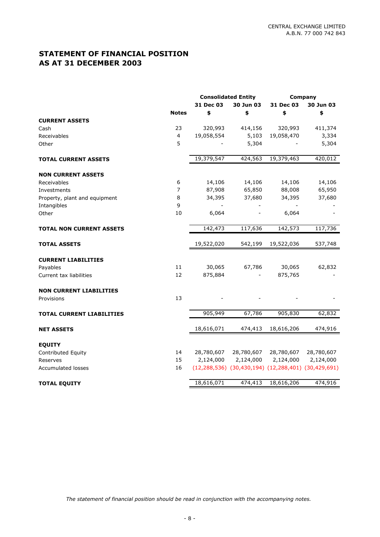# **STATEMENT OF FINANCIAL POSITION AS AT 31 DECEMBER 2003**

|                                  |                         | <b>Consolidated Entity</b> |                                                                     |            | Company    |
|----------------------------------|-------------------------|----------------------------|---------------------------------------------------------------------|------------|------------|
|                                  |                         | 31 Dec 03                  | 30 Jun 03                                                           | 31 Dec 03  | 30 Jun 03  |
| <b>CURRENT ASSETS</b>            | <b>Notes</b>            | \$                         | \$                                                                  | \$         | \$         |
| Cash                             | 23                      | 320,993                    | 414,156                                                             | 320,993    | 411,374    |
| Receivables                      | $\overline{\mathbf{4}}$ | 19,058,554                 | 5,103                                                               | 19,058,470 | 3,334      |
| Other                            | 5                       |                            | 5,304                                                               |            | 5,304      |
| <b>TOTAL CURRENT ASSETS</b>      |                         | 19,379,547                 | 424,563                                                             | 19,379,463 | 420,012    |
| <b>NON CURRENT ASSETS</b>        |                         |                            |                                                                     |            |            |
| Receivables                      | 6                       | 14,106                     | 14,106                                                              | 14,106     | 14,106     |
| Investments                      | $\overline{7}$          | 87,908                     | 65,850                                                              | 88,008     | 65,950     |
| Property, plant and equipment    | 8                       | 34,395                     | 37,680                                                              | 34,395     | 37,680     |
| Intangibles                      | 9                       |                            |                                                                     |            |            |
| Other                            | 10                      | 6,064                      |                                                                     | 6,064      |            |
| <b>TOTAL NON CURRENT ASSETS</b>  |                         | 142,473                    | 117,636                                                             | 142,573    | 117,736    |
| <b>TOTAL ASSETS</b>              |                         | 19,522,020                 | 542,199                                                             | 19,522,036 | 537,748    |
| <b>CURRENT LIABILITIES</b>       |                         |                            |                                                                     |            |            |
| Payables                         | 11                      | 30,065                     | 67,786                                                              | 30,065     | 62,832     |
| Current tax liabilities          | 12                      | 875,884                    |                                                                     | 875,765    |            |
| <b>NON CURRENT LIABILITIES</b>   |                         |                            |                                                                     |            |            |
| Provisions                       | 13                      |                            |                                                                     |            |            |
| <b>TOTAL CURRENT LIABILITIES</b> |                         | 905,949                    | 67,786                                                              | 905,830    | 62,832     |
| <b>NET ASSETS</b>                |                         | 18,616,071                 | 474,413                                                             | 18,616,206 | 474,916    |
| <b>EQUITY</b>                    |                         |                            |                                                                     |            |            |
| Contributed Equity               | 14                      | 28,780,607                 | 28,780,607                                                          | 28,780,607 | 28,780,607 |
| Reserves                         | 15                      | 2,124,000                  | 2,124,000                                                           | 2,124,000  | 2,124,000  |
| <b>Accumulated losses</b>        | 16                      |                            | $(12, 288, 536)$ $(30, 430, 194)$ $(12, 288, 401)$ $(30, 429, 691)$ |            |            |
| <b>TOTAL EQUITY</b>              |                         | 18,616,071                 | 474,413                                                             | 18,616,206 | 474,916    |

*The statement of financial position should be read in conjunction with the accompanying notes.*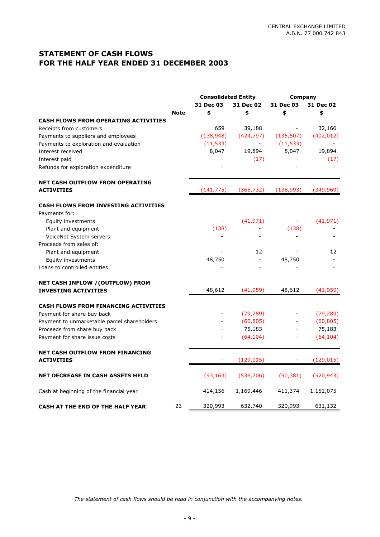# **STATEMENT OF CASH FLOWS FOR THE HALF YEAR ENDED 31 DECEMBER 2003**

|                                             |             | <b>Consolidated Entity</b><br>31 Dec 03<br>31 Dec 02 |                | Company<br>31 Dec 03<br>31 Dec 02 |            |
|---------------------------------------------|-------------|------------------------------------------------------|----------------|-----------------------------------|------------|
|                                             | <b>Note</b> | \$                                                   | \$             | \$                                | \$         |
| <b>CASH FLOWS FROM OPERATING ACTIVITIES</b> |             |                                                      |                |                                   |            |
| Receipts from customers                     |             | 659                                                  | 39,188         |                                   | 32,166     |
| Payments to suppliers and employees         |             | (138, 948)                                           | (424, 797)     | (135, 507)                        | (402, 012) |
| Payments to exploration and evaluation      |             | (11, 533)                                            | $\blacksquare$ | (11, 533)                         |            |
| Interest received                           |             | 8,047                                                | 19,894         | 8,047                             | 19,894     |
| Interest paid                               |             |                                                      | (17)           |                                   | (17)       |
| Refunds for exploration expenditure         |             |                                                      |                |                                   |            |
| <b>NET CASH OUTFLOW FROM OPERATING</b>      |             |                                                      |                |                                   |            |
| <b>ACTIVITIES</b>                           |             | (141, 775)                                           | (365, 732)     | (138, 993)                        | (349, 969) |
| <b>CASH FLOWS FROM INVESTING ACTIVITIES</b> |             |                                                      |                |                                   |            |
| Payments for:                               |             |                                                      |                |                                   |            |
| Equity investments                          |             |                                                      | (41, 971)      |                                   | (41, 971)  |
| Plant and equipment                         |             | (138)                                                |                | (138)                             |            |
| VoiceNet System servers                     |             | $\overline{\phantom{a}}$                             |                |                                   |            |
| Proceeds from sales of:                     |             |                                                      |                |                                   |            |
| Plant and equipment                         |             |                                                      | 12             |                                   | 12         |
| Equity investments                          |             | 48,750                                               | $\blacksquare$ | 48,750                            |            |
| Loans to controlled entities                |             |                                                      |                |                                   |            |
| NET CASH INFLOW / (OUTFLOW) FROM            |             |                                                      |                |                                   |            |
| <b>INVESTING ACTIVITIES</b>                 |             | 48,612                                               | (41,959)       | 48,612                            | (41, 959)  |
| <b>CASH FLOWS FROM FINANCING ACTIVITIES</b> |             |                                                      |                |                                   |            |
| Payment for share buy back                  |             |                                                      | (79, 289)      |                                   | (79, 289)  |
| Payment to unmarketable parcel shareholders |             |                                                      | (60, 805)      |                                   | (60, 805)  |
| Proceeds from share buy back                |             |                                                      | 75,183         |                                   | 75,183     |
| Payment for share issue costs               |             |                                                      | (64, 104)      |                                   | (64, 104)  |
| <b>NET CASH OUTFLOW FROM FINANCING</b>      |             |                                                      |                |                                   |            |
| <b>ACTIVITIES</b>                           |             |                                                      | (129, 015)     |                                   | (129, 015) |
| <b>NET DECREASE IN CASH ASSETS HELD</b>     |             | (93, 163)                                            | (536, 706)     | (90, 381)                         | (520, 943) |
| Cash at beginning of the financial year     |             | 414,156                                              | 1,169,446      | 411,374                           | 1,152,075  |
| CASH AT THE END OF THE HALF YEAR            | 23          | 320,993                                              | 632,740        | 320,993                           | 631,132    |

*The statement of cash flows should be read in conjunction with the accompanying notes.*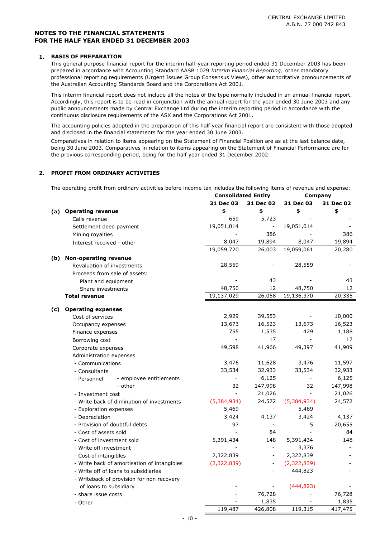#### **1. BASIS OF PREPARATION**

This general purpose financial report for the interim half-year reporting period ended 31 December 2003 has been prepared in accordance with Accounting Standard AASB 1029 *Interim Financial Reporting,* other mandatory professional reporting requirements (Urgent Issues Group Consensus Views), other authoritative pronouncements of the Australian Accounting Standards Board and the Corporations Act 2001.

This interim financial report does not include all the notes of the type normally included in an annual financial report. Accordingly, this report is to be read in conjunction with the annual report for the year ended 30 June 2003 and any public announcements made by Central Exchange Ltd during the interim reporting period in accordance with the continuous disclosure requirements of the ASX and the Corporations Act 2001.

The accounting policies adopted in the preparation of this half year financial report are consistent with those adopted and disclosed in the financial statements for the year ended 30 June 2003.

Comparatives in relation to items appearing on the Statement of Financial Position are as at the last balance date, being 30 June 2003. Comparatives in relation to items appearing on the Statement of Financial Performance are for the previous corresponding period, being for the half year ended 31 December 2002.

## **2. PROFIT FROM ORDINARY ACTIVITIES**

The operating profit from ordinary activities before income tax includes the following items of revenue and expense:

|     |                                             | <b>Consolidated Entity</b> |                          | Company     |           |
|-----|---------------------------------------------|----------------------------|--------------------------|-------------|-----------|
|     |                                             | 31 Dec 03                  | 31 Dec 02                | 31 Dec 03   | 31 Dec 02 |
| (a) | <b>Operating revenue</b>                    | \$                         | \$                       | \$          | \$        |
|     | Calls revenue                               | 659                        | 5,723                    |             |           |
|     | Settlement deed payment                     | 19,051,014                 | $\overline{\phantom{a}}$ | 19,051,014  |           |
|     | Mining royalties                            |                            | 386                      |             | 386       |
|     | Interest received - other                   | 8,047                      | 19,894                   | 8,047       | 19,894    |
|     |                                             | 19,059,720                 | 26,003                   | 19,059,061  | 20,280    |
| (b) | <b>Non-operating revenue</b>                |                            |                          |             |           |
|     | Revaluation of investments                  | 28,559                     |                          | 28,559      |           |
|     | Proceeds from sale of assets:               |                            |                          |             |           |
|     | Plant and equipment                         |                            | 43                       |             | 43        |
|     | Share investments                           | 48,750                     | 12                       | 48,750      | 12        |
|     | <b>Total revenue</b>                        | 19,137,029                 | 26,058                   | 19,136,370  | 20,335    |
|     | <b>Operating expenses</b>                   |                            |                          |             |           |
| (c) | Cost of services                            | 2,929                      | 39,553                   |             | 10,000    |
|     | Occupancy expenses                          | 13,673                     | 16,523                   | 13,673      | 16,523    |
|     | Finance expenses                            | 755                        | 1,535                    | 429         | 1,188     |
|     | Borrowing cost                              | $\overline{\phantom{a}}$   | 17                       |             | 17        |
|     | Corporate expenses                          | 49,598                     | 41,966                   | 49,397      | 41,909    |
|     | Administration expenses                     |                            |                          |             |           |
|     | - Communications                            | 3,476                      | 11,628                   | 3,476       | 11,597    |
|     | - Consultants                               | 33,534                     | 32,933                   | 33,534      | 32,933    |
|     | - employee entitlements<br>- Personnel      |                            | 6,125                    |             | 6,125     |
|     | - other                                     | 32                         | 147,998                  | 32          | 147,998   |
|     | - Investment cost                           | $\equiv$                   | 21,026                   |             | 21,026    |
|     | - Write back of diminution of investments   | (5,384,934)                | 24,572                   | (5,384,934) | 24,572    |
|     | - Exploration expenses                      | 5,469                      | $\overline{\phantom{a}}$ | 5,469       |           |
|     | - Depreciation                              | 3,424                      | 4,137                    | 3,424       | 4,137     |
|     | - Provision of doubtful debts               | 97                         |                          | 5           | 20,655    |
|     | - Cost of assets sold                       | $\sim$                     | 84                       |             | 84        |
|     | - Cost of investment sold                   | 5,391,434                  | 148                      | 5,391,434   | 148       |
|     | - Write off investment                      |                            | $\blacksquare$           | 3,376       |           |
|     | - Cost of intangibles                       | 2,322,839                  | $\overline{\phantom{a}}$ | 2,322,839   |           |
|     | - Write back of amortisation of intangibles | (2,322,839)                | $\frac{1}{2}$            | (2,322,839) |           |
|     | - Write off of loans to subsidiaries        |                            |                          | 444,823     |           |
|     | - Writeback of provision for non recovery   |                            |                          |             |           |
|     | of loans to subsidiary                      |                            |                          | (444, 823)  |           |
|     | - share issue costs                         |                            | 76,728                   |             | 76,728    |
|     | - Other                                     |                            | 1,835                    |             | 1,835     |
|     |                                             | 119,487                    | 426,808                  | 119,315     | 417,475   |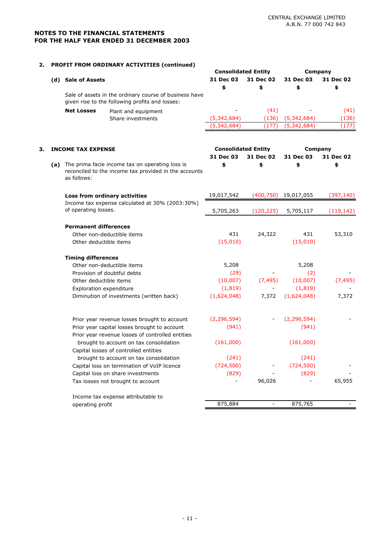## **2. PROFIT FROM ORDINARY ACTIVITIES (continued)**

| 31 Dec 03<br>31 Dec 02<br>31 Dec 03<br>31 Dec 02<br>(d) Sale of Assets<br>\$<br>\$<br>\$<br>\$<br>Sale of assets in the ordinary course of business have<br>given rise to the following profits and losses:<br>(41)<br><b>Net Losses</b><br>Plant and equipment<br>(5,342,684)<br>(136)<br>(5,342,684)<br>Share investments<br>(5,342,684)<br>(177)<br>(5,342,684)<br><b>Consolidated Entity</b><br><b>Company</b><br>З.<br><b>INCOME TAX EXPENSE</b><br>31 Dec 03<br>31 Dec 02<br>31 Dec 03<br>31 Dec 02<br>\$<br>\$<br>\$<br>The prima facie income tax on operating loss is<br>\$<br>(a)<br>reconciled to the income tax provided in the accounts<br>as follows:<br>(400, 750)<br>19,017,542<br>19,017,055<br>Loss from ordinary activities<br>Income tax expense calculated at 30% (2003:30%)<br>of operating losses.<br>5,705,263<br>(120, 225)<br>5,705,117<br><b>Permanent differences</b><br>431<br>431<br>24,322<br>Other non-deductible items<br>(15,010)<br>(15,010)<br>Other deductible items<br><b>Timing differences</b><br>Other non-deductible items<br>5,208<br>5,208<br>Provision of doubtful debts<br>(29)<br>(2)<br>(7, 495)<br>(10,007)<br>(10,007)<br>Other deductible items<br>(1, 819)<br>(1, 819)<br>Exploration expenditure<br>(1,624,048)<br>7,372<br>(1,624,048)<br>Diminution of investments (written back)<br>(2, 296, 594)<br>(2, 296, 594)<br>Prior year revenue losses brought to account<br>(941)<br>(941)<br>Prior year capital losses brought to account<br>Prior year revenue losses of controlled entities<br>(161,000)<br>brought to account on tax consolidation<br>(161,000)<br>Capital losses of controlled entities<br>(241)<br>(241)<br>brought to account on tax consolidation<br>(724, 500)<br>(724, 500)<br>Capital loss on termination of VoIP licence<br>(829)<br>(829)<br>Capital loss on share investments<br>96,026<br>Tax losses not brought to account<br>Income tax expense attributable to<br>operating profit |  |  |  | <b>Consolidated Entity</b> | Company |         |            |
|------------------------------------------------------------------------------------------------------------------------------------------------------------------------------------------------------------------------------------------------------------------------------------------------------------------------------------------------------------------------------------------------------------------------------------------------------------------------------------------------------------------------------------------------------------------------------------------------------------------------------------------------------------------------------------------------------------------------------------------------------------------------------------------------------------------------------------------------------------------------------------------------------------------------------------------------------------------------------------------------------------------------------------------------------------------------------------------------------------------------------------------------------------------------------------------------------------------------------------------------------------------------------------------------------------------------------------------------------------------------------------------------------------------------------------------------------------------------------------------------------------------------------------------------------------------------------------------------------------------------------------------------------------------------------------------------------------------------------------------------------------------------------------------------------------------------------------------------------------------------------------------------------------------------------------------------------------------------|--|--|--|----------------------------|---------|---------|------------|
|                                                                                                                                                                                                                                                                                                                                                                                                                                                                                                                                                                                                                                                                                                                                                                                                                                                                                                                                                                                                                                                                                                                                                                                                                                                                                                                                                                                                                                                                                                                                                                                                                                                                                                                                                                                                                                                                                                                                                                        |  |  |  |                            |         |         |            |
|                                                                                                                                                                                                                                                                                                                                                                                                                                                                                                                                                                                                                                                                                                                                                                                                                                                                                                                                                                                                                                                                                                                                                                                                                                                                                                                                                                                                                                                                                                                                                                                                                                                                                                                                                                                                                                                                                                                                                                        |  |  |  |                            |         |         |            |
|                                                                                                                                                                                                                                                                                                                                                                                                                                                                                                                                                                                                                                                                                                                                                                                                                                                                                                                                                                                                                                                                                                                                                                                                                                                                                                                                                                                                                                                                                                                                                                                                                                                                                                                                                                                                                                                                                                                                                                        |  |  |  |                            |         |         |            |
|                                                                                                                                                                                                                                                                                                                                                                                                                                                                                                                                                                                                                                                                                                                                                                                                                                                                                                                                                                                                                                                                                                                                                                                                                                                                                                                                                                                                                                                                                                                                                                                                                                                                                                                                                                                                                                                                                                                                                                        |  |  |  |                            |         | (41)    |            |
|                                                                                                                                                                                                                                                                                                                                                                                                                                                                                                                                                                                                                                                                                                                                                                                                                                                                                                                                                                                                                                                                                                                                                                                                                                                                                                                                                                                                                                                                                                                                                                                                                                                                                                                                                                                                                                                                                                                                                                        |  |  |  |                            |         |         | (136)      |
|                                                                                                                                                                                                                                                                                                                                                                                                                                                                                                                                                                                                                                                                                                                                                                                                                                                                                                                                                                                                                                                                                                                                                                                                                                                                                                                                                                                                                                                                                                                                                                                                                                                                                                                                                                                                                                                                                                                                                                        |  |  |  |                            |         |         | (177)      |
|                                                                                                                                                                                                                                                                                                                                                                                                                                                                                                                                                                                                                                                                                                                                                                                                                                                                                                                                                                                                                                                                                                                                                                                                                                                                                                                                                                                                                                                                                                                                                                                                                                                                                                                                                                                                                                                                                                                                                                        |  |  |  |                            |         |         |            |
|                                                                                                                                                                                                                                                                                                                                                                                                                                                                                                                                                                                                                                                                                                                                                                                                                                                                                                                                                                                                                                                                                                                                                                                                                                                                                                                                                                                                                                                                                                                                                                                                                                                                                                                                                                                                                                                                                                                                                                        |  |  |  |                            |         |         |            |
|                                                                                                                                                                                                                                                                                                                                                                                                                                                                                                                                                                                                                                                                                                                                                                                                                                                                                                                                                                                                                                                                                                                                                                                                                                                                                                                                                                                                                                                                                                                                                                                                                                                                                                                                                                                                                                                                                                                                                                        |  |  |  |                            |         |         |            |
|                                                                                                                                                                                                                                                                                                                                                                                                                                                                                                                                                                                                                                                                                                                                                                                                                                                                                                                                                                                                                                                                                                                                                                                                                                                                                                                                                                                                                                                                                                                                                                                                                                                                                                                                                                                                                                                                                                                                                                        |  |  |  |                            |         |         | (397, 140) |
|                                                                                                                                                                                                                                                                                                                                                                                                                                                                                                                                                                                                                                                                                                                                                                                                                                                                                                                                                                                                                                                                                                                                                                                                                                                                                                                                                                                                                                                                                                                                                                                                                                                                                                                                                                                                                                                                                                                                                                        |  |  |  |                            |         |         | (119, 142) |
|                                                                                                                                                                                                                                                                                                                                                                                                                                                                                                                                                                                                                                                                                                                                                                                                                                                                                                                                                                                                                                                                                                                                                                                                                                                                                                                                                                                                                                                                                                                                                                                                                                                                                                                                                                                                                                                                                                                                                                        |  |  |  |                            |         |         |            |
|                                                                                                                                                                                                                                                                                                                                                                                                                                                                                                                                                                                                                                                                                                                                                                                                                                                                                                                                                                                                                                                                                                                                                                                                                                                                                                                                                                                                                                                                                                                                                                                                                                                                                                                                                                                                                                                                                                                                                                        |  |  |  |                            |         |         | 53,310     |
|                                                                                                                                                                                                                                                                                                                                                                                                                                                                                                                                                                                                                                                                                                                                                                                                                                                                                                                                                                                                                                                                                                                                                                                                                                                                                                                                                                                                                                                                                                                                                                                                                                                                                                                                                                                                                                                                                                                                                                        |  |  |  |                            |         |         |            |
|                                                                                                                                                                                                                                                                                                                                                                                                                                                                                                                                                                                                                                                                                                                                                                                                                                                                                                                                                                                                                                                                                                                                                                                                                                                                                                                                                                                                                                                                                                                                                                                                                                                                                                                                                                                                                                                                                                                                                                        |  |  |  |                            |         |         |            |
|                                                                                                                                                                                                                                                                                                                                                                                                                                                                                                                                                                                                                                                                                                                                                                                                                                                                                                                                                                                                                                                                                                                                                                                                                                                                                                                                                                                                                                                                                                                                                                                                                                                                                                                                                                                                                                                                                                                                                                        |  |  |  |                            |         |         |            |
|                                                                                                                                                                                                                                                                                                                                                                                                                                                                                                                                                                                                                                                                                                                                                                                                                                                                                                                                                                                                                                                                                                                                                                                                                                                                                                                                                                                                                                                                                                                                                                                                                                                                                                                                                                                                                                                                                                                                                                        |  |  |  |                            |         |         |            |
|                                                                                                                                                                                                                                                                                                                                                                                                                                                                                                                                                                                                                                                                                                                                                                                                                                                                                                                                                                                                                                                                                                                                                                                                                                                                                                                                                                                                                                                                                                                                                                                                                                                                                                                                                                                                                                                                                                                                                                        |  |  |  |                            |         |         | (7, 495)   |
|                                                                                                                                                                                                                                                                                                                                                                                                                                                                                                                                                                                                                                                                                                                                                                                                                                                                                                                                                                                                                                                                                                                                                                                                                                                                                                                                                                                                                                                                                                                                                                                                                                                                                                                                                                                                                                                                                                                                                                        |  |  |  |                            |         |         |            |
|                                                                                                                                                                                                                                                                                                                                                                                                                                                                                                                                                                                                                                                                                                                                                                                                                                                                                                                                                                                                                                                                                                                                                                                                                                                                                                                                                                                                                                                                                                                                                                                                                                                                                                                                                                                                                                                                                                                                                                        |  |  |  |                            |         |         | 7,372      |
|                                                                                                                                                                                                                                                                                                                                                                                                                                                                                                                                                                                                                                                                                                                                                                                                                                                                                                                                                                                                                                                                                                                                                                                                                                                                                                                                                                                                                                                                                                                                                                                                                                                                                                                                                                                                                                                                                                                                                                        |  |  |  |                            |         |         |            |
|                                                                                                                                                                                                                                                                                                                                                                                                                                                                                                                                                                                                                                                                                                                                                                                                                                                                                                                                                                                                                                                                                                                                                                                                                                                                                                                                                                                                                                                                                                                                                                                                                                                                                                                                                                                                                                                                                                                                                                        |  |  |  |                            |         |         |            |
|                                                                                                                                                                                                                                                                                                                                                                                                                                                                                                                                                                                                                                                                                                                                                                                                                                                                                                                                                                                                                                                                                                                                                                                                                                                                                                                                                                                                                                                                                                                                                                                                                                                                                                                                                                                                                                                                                                                                                                        |  |  |  |                            |         |         |            |
|                                                                                                                                                                                                                                                                                                                                                                                                                                                                                                                                                                                                                                                                                                                                                                                                                                                                                                                                                                                                                                                                                                                                                                                                                                                                                                                                                                                                                                                                                                                                                                                                                                                                                                                                                                                                                                                                                                                                                                        |  |  |  |                            |         |         |            |
|                                                                                                                                                                                                                                                                                                                                                                                                                                                                                                                                                                                                                                                                                                                                                                                                                                                                                                                                                                                                                                                                                                                                                                                                                                                                                                                                                                                                                                                                                                                                                                                                                                                                                                                                                                                                                                                                                                                                                                        |  |  |  |                            |         |         |            |
|                                                                                                                                                                                                                                                                                                                                                                                                                                                                                                                                                                                                                                                                                                                                                                                                                                                                                                                                                                                                                                                                                                                                                                                                                                                                                                                                                                                                                                                                                                                                                                                                                                                                                                                                                                                                                                                                                                                                                                        |  |  |  |                            |         |         |            |
|                                                                                                                                                                                                                                                                                                                                                                                                                                                                                                                                                                                                                                                                                                                                                                                                                                                                                                                                                                                                                                                                                                                                                                                                                                                                                                                                                                                                                                                                                                                                                                                                                                                                                                                                                                                                                                                                                                                                                                        |  |  |  |                            |         |         | 65,955     |
|                                                                                                                                                                                                                                                                                                                                                                                                                                                                                                                                                                                                                                                                                                                                                                                                                                                                                                                                                                                                                                                                                                                                                                                                                                                                                                                                                                                                                                                                                                                                                                                                                                                                                                                                                                                                                                                                                                                                                                        |  |  |  |                            |         |         |            |
|                                                                                                                                                                                                                                                                                                                                                                                                                                                                                                                                                                                                                                                                                                                                                                                                                                                                                                                                                                                                                                                                                                                                                                                                                                                                                                                                                                                                                                                                                                                                                                                                                                                                                                                                                                                                                                                                                                                                                                        |  |  |  |                            | 875,884 | 875,765 |            |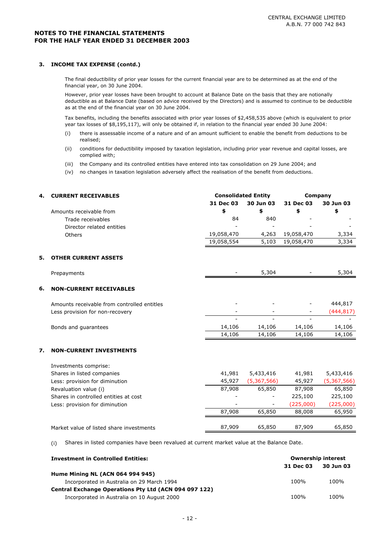#### **3. INCOME TAX EXPENSE (contd.)**

The final deductibility of prior year losses for the current financial year are to be determined as at the end of the financial year, on 30 June 2004.

However, prior year losses have been brought to account at Balance Date on the basis that they are notionally deductible as at Balance Date (based on advice received by the Directors) and is assumed to continue to be deductible as at the end of the financial year on 30 June 2004.

Tax benefits, including the benefits associated with prior year losses of \$2,458,535 above (which is equivalent to prior year tax losses of \$8,195,117), will only be obtained if, in relation to the financial year ended 30 June 2004:

- (i) there is assessable income of a nature and of an amount sufficient to enable the benefit from deductions to be realised;
- (ii) conditions for deductibility imposed by taxation legislation, including prior year revenue and capital losses, are complied with;
- (iii) the Company and its controlled entities have entered into tax consolidation on 29 June 2004; and
- (iv) no changes in taxation legislation adversely affect the realisation of the benefit from deductions.

| 4. | <b>CURRENT RECEIVABLES</b>                  |            | <b>Consolidated Entity</b> | Company    |             |
|----|---------------------------------------------|------------|----------------------------|------------|-------------|
|    |                                             | 31 Dec 03  | 30 Jun 03                  | 31 Dec 03  | 30 Jun 03   |
|    | Amounts receivable from                     | \$         | \$                         | \$         | \$          |
|    | Trade receivables                           | 84         | 840                        |            |             |
|    | Director related entities                   |            |                            |            |             |
|    | Others                                      | 19,058,470 | 4,263                      | 19,058,470 | 3,334       |
|    |                                             | 19,058,554 | 5,103                      | 19,058,470 | 3,334       |
| 5. | <b>OTHER CURRENT ASSETS</b>                 |            |                            |            |             |
|    | Prepayments                                 |            | 5,304                      |            | 5,304       |
| 6. | <b>NON-CURRENT RECEIVABLES</b>              |            |                            |            |             |
|    | Amounts receivable from controlled entitles |            |                            |            | 444,817     |
|    | Less provision for non-recovery             |            |                            |            | (444, 817)  |
|    | Bonds and guarantees                        | 14,106     | 14,106                     | 14,106     | 14,106      |
|    |                                             | 14,106     | 14,106                     | 14,106     | 14,106      |
| 7. | <b>NON-CURRENT INVESTMENTS</b>              |            |                            |            |             |
|    | Investments comprise:                       |            |                            |            |             |
|    | Shares in listed companies                  | 41,981     | 5,433,416                  | 41,981     | 5,433,416   |
|    | Less: provision for diminution              | 45,927     | (5,367,566)                | 45,927     | (5,367,566) |
|    | Revaluation value (i)                       | 87,908     | 65,850                     | 87,908     | 65,850      |
|    | Shares in controlled entities at cost       |            |                            | 225,100    | 225,100     |
|    | Less: provision for diminution              |            |                            | (225,000)  | (225,000)   |
|    |                                             | 87,908     | 65,850                     | 88,008     | 65,950      |
|    | Market value of listed share investments    | 87,909     | 65,850                     | 87,909     | 65,850      |

(i) Shares in listed companies have been revalued at current market value at the Balance Date.

| <b>Investment in Controlled Entities:</b>             | <b>Ownership interest</b> |           |  |
|-------------------------------------------------------|---------------------------|-----------|--|
|                                                       | 31 Dec 03                 | 30 Jun 03 |  |
| <b>Hume Mining NL (ACN 064 994 945)</b>               |                           |           |  |
| Incorporated in Australia on 29 March 1994            | 100%                      | 100%      |  |
| Central Exchange Operations Pty Ltd (ACN 094 097 122) |                           |           |  |
| Incorporated in Australia on 10 August 2000           | 100%                      | 100%      |  |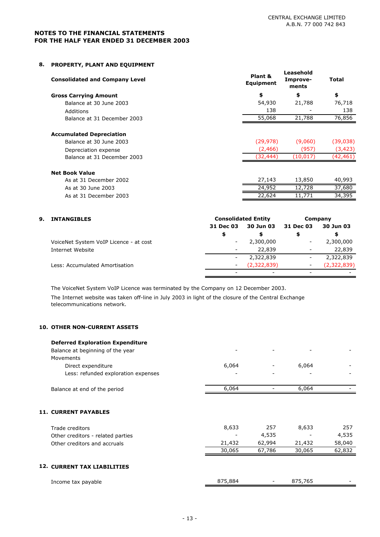### **8. PROPERTY, PLANT AND EQUIPMENT**

| <b>Consolidated and Company Level</b> | Plant &<br>Equipment | Leasehold<br>Improve-<br>ments | Total     |
|---------------------------------------|----------------------|--------------------------------|-----------|
| <b>Gross Carrying Amount</b>          | \$                   | \$                             | \$        |
| Balance at 30 June 2003               | 54,930               | 21,788                         | 76,718    |
| Additions                             | 138                  |                                | 138       |
| Balance at 31 December 2003           | 55,068               | 21,788                         | 76,856    |
| <b>Accumulated Depreciation</b>       |                      |                                |           |
| Balance at 30 June 2003               | (29, 978)            | (9,060)                        | (39,038)  |
| Depreciation expense                  | (2,466)              | (957)                          | (3, 423)  |
| Balance at 31 December 2003           | (32, 444)            | (10, 017)                      | (42, 461) |
| <b>Net Book Value</b>                 |                      |                                |           |
| As at 31 December 2002                | 27,143               | 13,850                         | 40,993    |

| _____<br>___<br>_____<br>___ |                     |     |        |
|------------------------------|---------------------|-----|--------|
| As at 30 June 2003           | 4 O.T.T<br>າ4<br>__ | 728 | .680   |
| As at 31 December 2003       | 22,624              |     | 34,395 |
|                              |                     |     |        |

| 9. | <b>INTANGIBLES</b>                     | <b>Consolidated Entity</b> | Company     |                          |                          |
|----|----------------------------------------|----------------------------|-------------|--------------------------|--------------------------|
|    |                                        | 31 Dec 03                  | 30 Jun 03   | 31 Dec 03                | 30 Jun 03                |
|    |                                        | \$                         | \$          |                          |                          |
|    | VoiceNet System VoIP Licence - at cost | -                          | 2,300,000   |                          | 2,300,000                |
|    | Internet Website                       | $\overline{\phantom{a}}$   | 22,839      | $\overline{\phantom{a}}$ | 22,839                   |
|    |                                        | -                          | 2,322,839   | -                        | 2,322,839                |
|    | Less: Accumulated Amortisation         | $\overline{\phantom{a}}$   | (2,322,839) | $\overline{\phantom{a}}$ | (2,322,839)              |
|    |                                        | -                          | -           |                          | $\overline{\phantom{0}}$ |

The VoiceNet System VoIP Licence was terminated by the Company on 12 December 2003.

The Internet website was taken off-line in July 2003 in light of the closure of the Central Exchange telecommunications network.

## **10. OTHER NON-CURRENT ASSETS**

| <b>Deferred Exploration Expenditure</b><br>Balance at beginning of the year |         |        |         |        |
|-----------------------------------------------------------------------------|---------|--------|---------|--------|
| Movements                                                                   |         |        |         |        |
| Direct expenditure<br>Less: refunded exploration expenses                   | 6,064   |        | 6,064   |        |
| Balance at end of the period                                                | 6,064   |        | 6,064   |        |
| <b>11. CURRENT PAYABLES</b>                                                 |         |        |         |        |
| Trade creditors                                                             | 8,633   | 257    | 8,633   | 257    |
| Other creditors - related parties                                           |         | 4,535  |         | 4,535  |
| Other creditors and accruals                                                | 21,432  | 62,994 | 21,432  | 58,040 |
|                                                                             | 30,065  | 67,786 | 30,065  | 62,832 |
| <b>12. CURRENT TAX LIABILITIES</b>                                          |         |        |         |        |
| Income tax payable                                                          | 875,884 |        | 875,765 |        |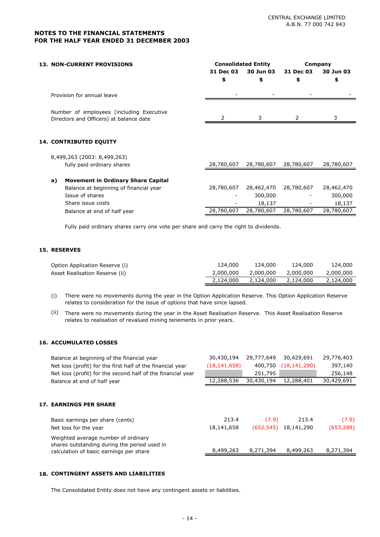| <b>13. NON-CURRENT PROVISIONS</b>                                                   |            | <b>Consolidated Entity</b> |            | Company    |
|-------------------------------------------------------------------------------------|------------|----------------------------|------------|------------|
|                                                                                     | 31 Dec 03  | 30 Jun 03                  | 31 Dec 03  | 30 Jun 03  |
|                                                                                     | \$         | \$                         | \$         | \$         |
| Provision for annual leave                                                          |            |                            |            |            |
| Number of employees (including Executive<br>Directors and Officers) at balance date |            | 3                          | 2          | 3          |
| <b>14. CONTRIBUTED EQUITY</b>                                                       |            |                            |            |            |
|                                                                                     |            |                            |            |            |
| 8,499,263 (2003: 8,499,263)                                                         |            |                            |            |            |
| fully paid ordinary shares                                                          | 28,780,607 | 28,780,607                 | 28,780,607 | 28,780,607 |
| <b>Movement in Ordinary Share Capital</b><br>a)                                     |            |                            |            |            |
| Balance at beginning of financial year                                              | 28,780,607 | 28,462,470                 | 28,780,607 | 28,462,470 |
| Issue of shares                                                                     |            | 300,000                    |            | 300,000    |
| Share issue costs                                                                   |            | 18,137                     |            | 18,137     |
| Balance at end of half year                                                         | 28,780,607 | 28,780,607                 | 28,780,607 | 28,780,607 |
|                                                                                     |            |                            |            |            |

Fully paid ordinary shares carry one vote per share and carry the right to dividends.

## **15. RESERVES**

| Option Application Reserve (i) | 124.000   | 124,000   | 124,000   | 124,000   |
|--------------------------------|-----------|-----------|-----------|-----------|
| Asset Realisation Reserve (ii) | 2,000,000 | 2,000,000 | 2,000,000 | 2,000,000 |
|                                | 2,124,000 | 2,124,000 | 2,124,000 | 2,124,000 |

- (i) There were no movements during the year in the Option Application Reserve. This Option Application Reserve relates to consideration for the issue of options that have since lapsed.
- (ii) There were no movements during the year in the Asset Realisation Reserve. This Asset Realisation Reserve relates to realisation of revalued mining tenements in prior years.

### **16. ACCUMULATED LOSSES**

| Balance at beginning of the financial year<br>Net loss (profit) for the first half of the financial year | 30,430,194<br>(18, 141, 658) | 29,777,649<br>400,750 | 30,429,691<br>(18, 141, 290) | 29,776,403<br>397,140 |
|----------------------------------------------------------------------------------------------------------|------------------------------|-----------------------|------------------------------|-----------------------|
| Net loss (profit) for the second half of the financial year                                              |                              | 251,795               |                              | 256,148               |
| Balance at end of half year                                                                              | 12,288,536                   | 30,430,194            | 12,288,401                   | 30,429,691            |
|                                                                                                          |                              |                       |                              |                       |
| <b>17. EARNINGS PER SHARE</b>                                                                            |                              |                       |                              |                       |
| Basic earnings per share (cents)                                                                         | 213.4                        | (7.9)                 | 213.4                        | (7.9)                 |
| Net loss for the year                                                                                    | 18,141,658                   | (652, 545)            | 18,141,290                   | (653, 288)            |
| Weighted average number of ordinary<br>shares outstanding during the period used in                      |                              |                       |                              |                       |
| calculation of basic earnings per share                                                                  | 8,499,263                    | 8,271,394             | 8,499,263                    | 8,271,394             |

#### **18. CONTINGENT ASSETS AND LIABILITIES**

The Consolidated Entity does not have any contingent assets or liabilities.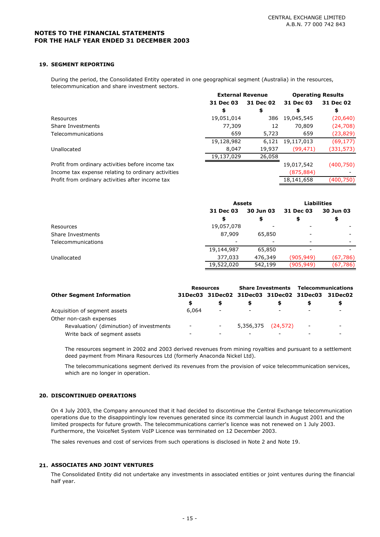#### **19. SEGMENT REPORTING**

During the period, the Consolidated Entity operated in one geographical segment (Australia) in the resources, telecommunication and share investment sectors.

|                                                    | <b>External Revenue</b> |           |            | <b>Operating Results</b> |
|----------------------------------------------------|-------------------------|-----------|------------|--------------------------|
|                                                    | 31 Dec 03               | 31 Dec 02 | 31 Dec 03  | 31 Dec 02                |
|                                                    | \$                      | \$        | S          | \$                       |
| Resources                                          | 19,051,014              | 386       | 19,045,545 | (20, 640)                |
| Share Investments                                  | 77,309                  | 12        | 70,809     | (24, 708)                |
| Telecommunications                                 | 659                     | 5,723     | 659        | (23,829)                 |
|                                                    | 19,128,982              | 6.121     | 19,117,013 | (69,177)                 |
| Unallocated                                        | 8,047                   | 19,937    | (99, 471)  | (331,573)                |
|                                                    | 19,137,029              | 26,058    |            |                          |
| Profit from ordinary activities before income tax  |                         |           | 19,017,542 | (400,750)                |
| Income tax expense relating to ordinary activities |                         |           | (875, 884) |                          |
| Profit from ordinary activities after income tax   |                         |           | 18,141,658 | (400,750)                |

|                    |            | <b>Assets</b> |            | <b>Liabilities</b>     |  |
|--------------------|------------|---------------|------------|------------------------|--|
|                    | 31 Dec 03  | 30 Jun 03     |            | 31 Dec 03<br>30 Jun 03 |  |
|                    | \$         |               | \$         | \$                     |  |
| Resources          | 19,057,078 |               |            |                        |  |
| Share Investments  | 87,909     | 65,850        |            |                        |  |
| Telecommunications |            |               |            |                        |  |
|                    | 19,144,987 | 65,850        |            |                        |  |
| Unallocated        | 377,033    | 476,349       | (905, 949) | (67, 786)              |  |
|                    | 19,522,020 | 542,199       | (905, 949) | (67, 786)              |  |

|                                          | <b>Resources</b>         |                                         |           |                          | <b>Share Investments Telecommunications</b> |         |  |
|------------------------------------------|--------------------------|-----------------------------------------|-----------|--------------------------|---------------------------------------------|---------|--|
| <b>Other Segment Information</b>         |                          | 31Dec03 31Dec02 31Dec03 31Dec02 31Dec03 |           |                          |                                             | 31Dec02 |  |
|                                          | S                        |                                         |           |                          |                                             |         |  |
| Acquisition of segment assets            | 6,064                    | $\overline{\phantom{a}}$                |           | $\overline{\phantom{a}}$ |                                             |         |  |
| Other non-cash expenses                  |                          |                                         |           |                          |                                             |         |  |
| Revaluation/ (diminution) of investments | $\overline{\phantom{a}}$ | $\sim$                                  | 5,356,375 | (24, 572)                | $\overline{\phantom{a}}$                    | ۰.      |  |
| Write back of segment assets             | -                        |                                         |           |                          |                                             |         |  |

The resources segment in 2002 and 2003 derived revenues from mining royalties and pursuant to a settlement deed payment from Minara Resources Ltd (formerly Anaconda Nickel Ltd).

The telecommunications segment derived its revenues from the provision of voice telecommunication services, which are no longer in operation.

#### **20. DISCONTINUED OPERATIONS**

On 4 July 2003, the Company announced that it had decided to discontinue the Central Exchange telecommunication operations due to the disappointingly low revenues generated since its commercial launch in August 2001 and the limited prospects for future growth. The telecommunications carrier's licence was not renewed on 1 July 2003. Furthermore, the VoiceNet System VoIP Licence was terminated on 12 December 2003.

The sales revenues and cost of services from such operations is disclosed in Note 2 and Note 19.

#### **21. ASSOCIATES AND JOINT VENTURES**

The Consolidated Entity did not undertake any investments in associated entities or joint ventures during the financial half year.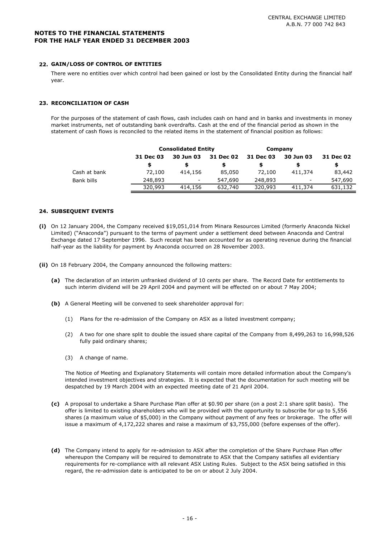#### **22. GAIN/LOSS OF CONTROL OF ENTITIES**

There were no entities over which control had been gained or lost by the Consolidated Entity during the financial half year.

#### **23. RECONCILIATION OF CASH**

For the purposes of the statement of cash flows, cash includes cash on hand and in banks and investments in money market instruments, net of outstanding bank overdrafts. Cash at the end of the financial period as shown in the statement of cash flows is reconciled to the related items in the statement of financial position as follows:

|              |           | <b>Consolidated Entity</b> |           |           | Company   |           |
|--------------|-----------|----------------------------|-----------|-----------|-----------|-----------|
|              | 31 Dec 03 | 30 Jun 03                  | 31 Dec 02 | 31 Dec 03 | 30 Jun 03 | 31 Dec 02 |
|              | S         |                            |           |           |           | S         |
| Cash at bank | 72,100    | 414,156                    | 85,050    | 72,100    | 411,374   | 83,442    |
| Bank bills   | 248,893   | $\overline{\phantom{a}}$   | 547,690   | 248,893   | -         | 547,690   |
|              | 320,993   | 414,156                    | 632,740   | 320,993   | 411,374   | 631,132   |

#### **24. SUBSEQUENT EVENTS**

- **(i)** On 12 January 2004, the Company received \$19,051,014 from Minara Resources Limited (formerly Anaconda Nickel Limited) ("Anaconda") pursuant to the terms of payment under a settlement deed between Anaconda and Central Exchange dated 17 September 1996. Such receipt has been accounted for as operating revenue during the financial half-year as the liability for payment by Anaconda occurred on 28 November 2003.
- **(ii)** On 18 February 2004, the Company announced the following matters:
	- **(a)** The declaration of an interim unfranked dividend of 10 cents per share. The Record Date for entitlements to such interim dividend will be 29 April 2004 and payment will be effected on or about 7 May 2004;
	- **(b)** A General Meeting will be convened to seek shareholder approval for:
		- (1) Plans for the re-admission of the Company on ASX as a listed investment company;
		- (2) A two for one share split to double the issued share capital of the Company from 8,499,263 to 16,998,526 fully paid ordinary shares;
		- (3) A change of name.

The Notice of Meeting and Explanatory Statements will contain more detailed information about the Company's intended investment objectives and strategies. It is expected that the documentation for such meeting will be despatched by 19 March 2004 with an expected meeting date of 21 April 2004.

- **(c)** A proposal to undertake a Share Purchase Plan offer at \$0.90 per share (on a post 2:1 share split basis). The offer is limited to existing shareholders who will be provided with the opportunity to subscribe for up to 5,556 shares (a maximum value of \$5,000) in the Company without payment of any fees or brokerage. The offer will issue a maximum of 4,172,222 shares and raise a maximum of \$3,755,000 (before expenses of the offer).
- **(d)** The Company intend to apply for re-admission to ASX after the completion of the Share Purchase Plan offer whereupon the Company will be required to demonstrate to ASX that the Company satisfies all evidentiary requirements for re-compliance with all relevant ASX Listing Rules. Subject to the ASX being satisfied in this regard, the re-admission date is anticipated to be on or about 2 July 2004.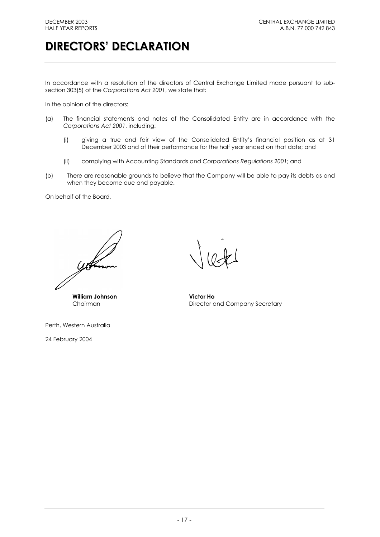# **DIRECTORS' DECLARATION**

In accordance with a resolution of the directors of Central Exchange Limited made pursuant to subsection 303(5) of the *Corporations Act 2001*, we state that:

In the opinion of the directors:

- (a) The financial statements and notes of the Consolidated Entity are in accordance with the *Corporations Act 2001*, including:
	- (i) giving a true and fair view of the Consolidated Entity's financial position as at 31 December 2003 and of their performance for the half year ended on that date; and
	- (ii) complying with Accounting Standards and *Corporations Regulations 2001*; and
- (b) There are reasonable grounds to believe that the Company will be able to pay its debts as and when they become due and payable.

On behalf of the Board,

**William Johnson Victor Ho**

Perth, Western Australia

24 February 2004

Chairman **Director and Company Secretary**